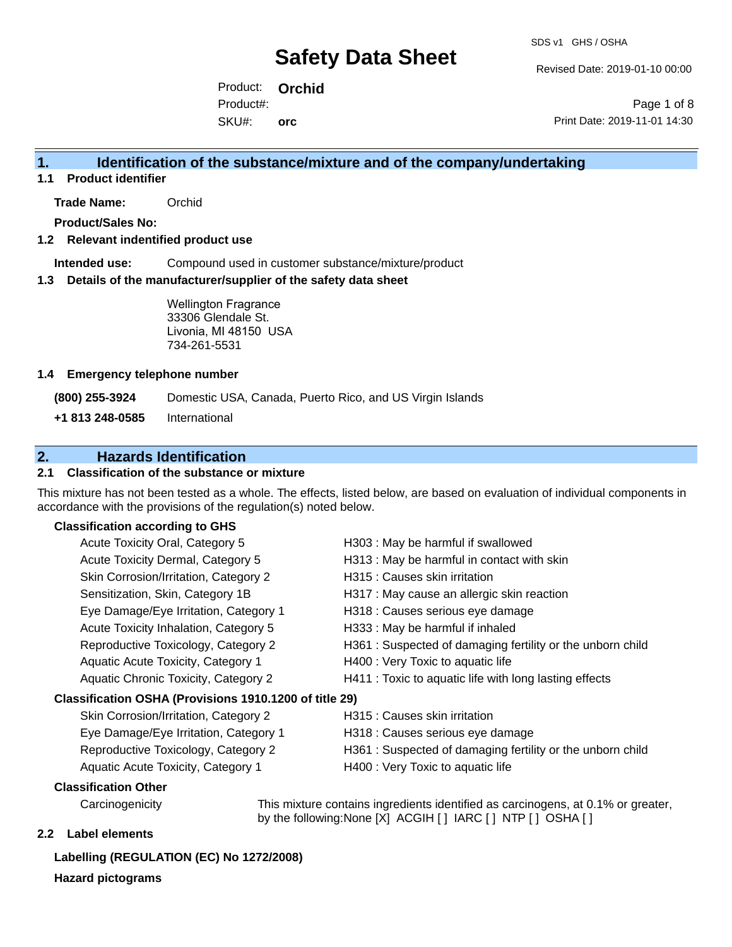Revised Date: 2019-01-10 00:00

Product: **Orchid** SKU#: Product#: **orc**

Page 1 of 8 Print Date: 2019-11-01 14:30

### **1. Identification of the substance/mixture and of the company/undertaking**

**1.1 Product identifier**

**Trade Name:** Orchid

**Product/Sales No:**

#### **1.2 Relevant indentified product use**

**Intended use:** Compound used in customer substance/mixture/product

#### **1.3 Details of the manufacturer/supplier of the safety data sheet**

Wellington Fragrance 33306 Glendale St. Livonia, MI 48150 USA 734-261-5531

#### **1.4 Emergency telephone number**

**(800) 255-3924** Domestic USA, Canada, Puerto Rico, and US Virgin Islands

**+1 813 248-0585** International

### **2. Hazards Identification**

#### **2.1 Classification of the substance or mixture**

This mixture has not been tested as a whole. The effects, listed below, are based on evaluation of individual components in accordance with the provisions of the regulation(s) noted below.

#### **Classification according to GHS**

| Acute Toxicity Oral, Category 5                        | H303 : May be harmful if swallowed                        |
|--------------------------------------------------------|-----------------------------------------------------------|
| Acute Toxicity Dermal, Category 5                      | H313 : May be harmful in contact with skin                |
| Skin Corrosion/Irritation, Category 2                  | H315 : Causes skin irritation                             |
| Sensitization, Skin, Category 1B                       | H317 : May cause an allergic skin reaction                |
| Eye Damage/Eye Irritation, Category 1                  | H318 : Causes serious eye damage                          |
| Acute Toxicity Inhalation, Category 5                  | H333: May be harmful if inhaled                           |
| Reproductive Toxicology, Category 2                    | H361: Suspected of damaging fertility or the unborn child |
| Aquatic Acute Toxicity, Category 1                     | H400 : Very Toxic to aquatic life                         |
| Aquatic Chronic Toxicity, Category 2                   | H411 : Toxic to aquatic life with long lasting effects    |
| Classification OSHA (Provisions 1910.1200 of title 29) |                                                           |
| Skin Corrosion/Irritation, Category 2                  | H315 : Causes skin irritation                             |
| Eye Damage/Eye Irritation, Category 1                  | H318 : Causes serious eye damage                          |
|                                                        |                                                           |

- Reproductive Toxicology, Category 2 H361 : Suspected of damaging fertility or the unborn child
- Aquatic Acute Toxicity, Category 1 H400 : Very Toxic to aquatic life
	-

#### **Classification Other**

Carcinogenicity This mixture contains ingredients identified as carcinogens, at 0.1% or greater, by the following:None [X] ACGIH [ ] IARC [ ] NTP [ ] OSHA [ ]

#### **2.2 Label elements**

#### **Labelling (REGULATION (EC) No 1272/2008)**

**Hazard pictograms**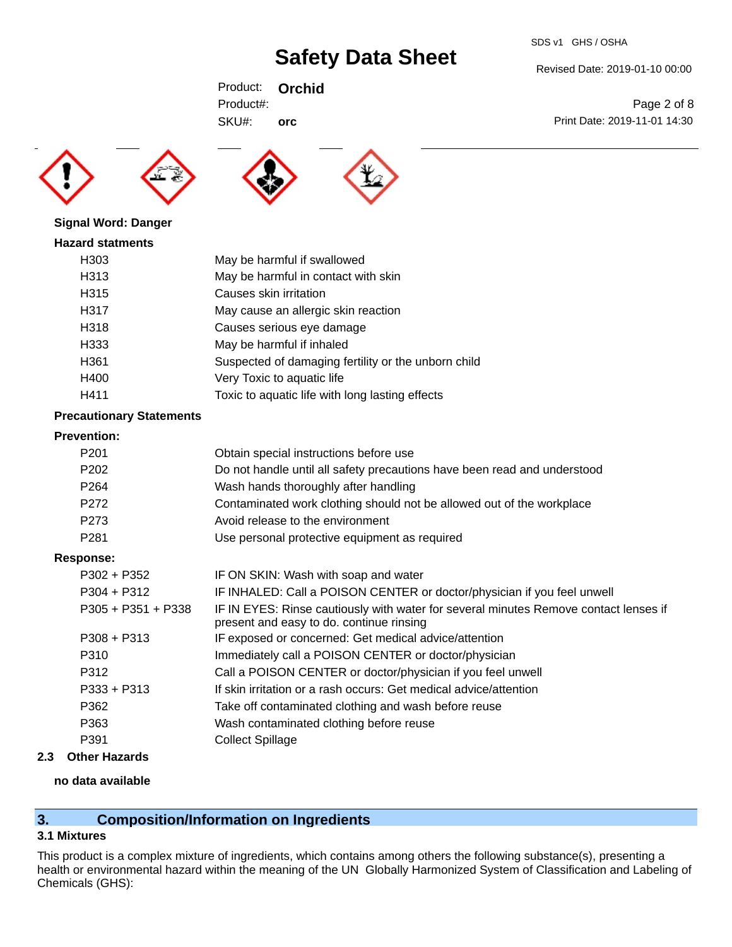#### SDS v1 GHS / OSHA

## **Safety Data Sheet**

Revised Date: 2019-01-10 00:00

Print Date: 2019-11-01 14:30

Page 2 of 8

Product: **Orchid** SKU#: Product#: **orc**







**Signal Word: Danger**

#### **Hazard statments**

| H303 | May be harmful if swallowed                         |
|------|-----------------------------------------------------|
| H313 | May be harmful in contact with skin                 |
| H315 | Causes skin irritation                              |
| H317 | May cause an allergic skin reaction                 |
| H318 | Causes serious eye damage                           |
| H333 | May be harmful if inhaled                           |
| H361 | Suspected of damaging fertility or the unborn child |
| H400 | Very Toxic to aquatic life                          |
| H411 | Toxic to aquatic life with long lasting effects     |

#### **Precautionary Statements**

#### **Prevention:**

| .                    |                                                                                                                                  |
|----------------------|----------------------------------------------------------------------------------------------------------------------------------|
| P <sub>201</sub>     | Obtain special instructions before use                                                                                           |
| P <sub>202</sub>     | Do not handle until all safety precautions have been read and understood                                                         |
| P <sub>264</sub>     | Wash hands thoroughly after handling                                                                                             |
| P <sub>272</sub>     | Contaminated work clothing should not be allowed out of the workplace                                                            |
| P273                 | Avoid release to the environment                                                                                                 |
| P <sub>281</sub>     | Use personal protective equipment as required                                                                                    |
| <b>Response:</b>     |                                                                                                                                  |
| $P302 + P352$        | IF ON SKIN: Wash with soap and water                                                                                             |
| $P304 + P312$        | IF INHALED: Call a POISON CENTER or doctor/physician if you feel unwell                                                          |
| $P305 + P351 + P338$ | IF IN EYES: Rinse cautiously with water for several minutes Remove contact lenses if<br>present and easy to do. continue rinsing |
| $P308 + P313$        | IF exposed or concerned: Get medical advice/attention                                                                            |
| P310                 | Immediately call a POISON CENTER or doctor/physician                                                                             |
| P312                 | Call a POISON CENTER or doctor/physician if you feel unwell                                                                      |
| $P333 + P313$        | If skin irritation or a rash occurs: Get medical advice/attention                                                                |
| P362                 | Take off contaminated clothing and wash before reuse                                                                             |
| P363                 | Wash contaminated clothing before reuse                                                                                          |
| P391                 | <b>Collect Spillage</b>                                                                                                          |
|                      |                                                                                                                                  |

### **2.3 Other Hazards**

#### **no data available**

### **3. Composition/Information on Ingredients**

#### **3.1 Mixtures**

This product is a complex mixture of ingredients, which contains among others the following substance(s), presenting a health or environmental hazard within the meaning of the UN Globally Harmonized System of Classification and Labeling of Chemicals (GHS):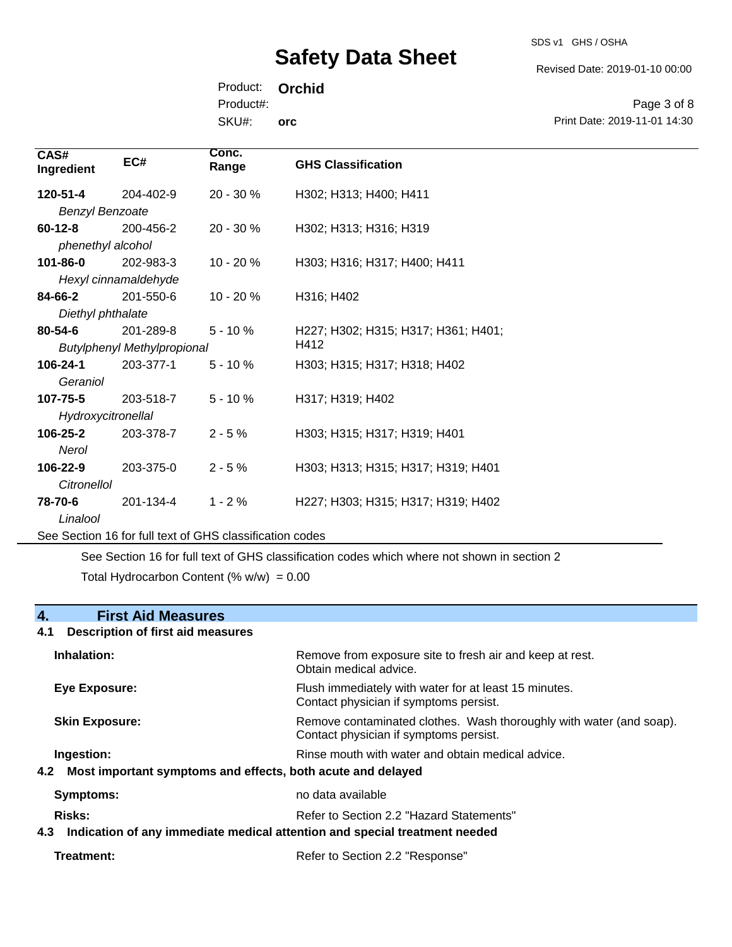SDS v1 GHS / OSHA

Revised Date: 2019-01-10 00:00

Product: **Orchid** SKU#: Product#: **orc**

Page 3 of 8 Print Date: 2019-11-01 14:30

| CAS#<br>Ingredient     | EC#                                                      | Conc.<br>Range | <b>GHS Classification</b>           |
|------------------------|----------------------------------------------------------|----------------|-------------------------------------|
| 120-51-4               | 204-402-9                                                | 20 - 30 %      | H302; H313; H400; H411              |
| <b>Benzyl Benzoate</b> |                                                          |                |                                     |
| $60 - 12 - 8$          | 200-456-2                                                | $20 - 30 %$    | H302; H313; H316; H319              |
| phenethyl alcohol      |                                                          |                |                                     |
| 101-86-0               | 202-983-3                                                | $10 - 20%$     | H303; H316; H317; H400; H411        |
|                        | Hexyl cinnamaldehyde                                     |                |                                     |
| 84-66-2                | 201-550-6                                                | 10 - 20 %      | H316; H402                          |
| Diethyl phthalate      |                                                          |                |                                     |
| 80-54-6                | 201-289-8                                                | $5 - 10%$      | H227; H302; H315; H317; H361; H401; |
|                        | <b>Butylphenyl Methylpropional</b>                       |                | H412                                |
| 106-24-1               | 203-377-1                                                | $5 - 10%$      | H303; H315; H317; H318; H402        |
| Geraniol               |                                                          |                |                                     |
| 107-75-5               | 203-518-7                                                | $5 - 10%$      | H317; H319; H402                    |
| Hydroxycitronellal     |                                                          |                |                                     |
| 106-25-2               | 203-378-7                                                | $2 - 5%$       | H303; H315; H317; H319; H401        |
| Nerol                  |                                                          |                |                                     |
| 106-22-9               | 203-375-0                                                | $2 - 5%$       | H303; H313; H315; H317; H319; H401  |
| <b>Citronellol</b>     |                                                          |                |                                     |
| 78-70-6                | 201-134-4                                                | $1 - 2%$       | H227; H303; H315; H317; H319; H402  |
| Linalool               |                                                          |                |                                     |
|                        | See Section 16 for full text of GHS classification codes |                |                                     |

See Section 16 for full text of GHS classification codes which where not shown in section 2 Total Hydrocarbon Content  $(\% w/w) = 0.00$ 

#### **4. First Aid Measures**

## **4.1 Description of first aid measures Inhalation:** Remove from exposure site to fresh air and keep at rest. Obtain medical advice. **Eye Exposure:** FIUSh immediately with water for at least 15 minutes. Contact physician if symptoms persist. **Skin Exposure: Remove contaminated clothes. Wash thoroughly with water (and soap).** Remove contaminated clothes. Wash thoroughly with water (and soap). Contact physician if symptoms persist. **Ingestion: Rinse mouth with water and obtain medical advice. In all of the state of the Rinse mouth with water and obtain medical advice. 4.2 Most important symptoms and effects, both acute and delayed Symptoms:** no data available Risks: **Risks:** Refer to Section 2.2 "Hazard Statements" **4.3 Indication of any immediate medical attention and special treatment needed Treatment:** Refer to Section 2.2 "Response"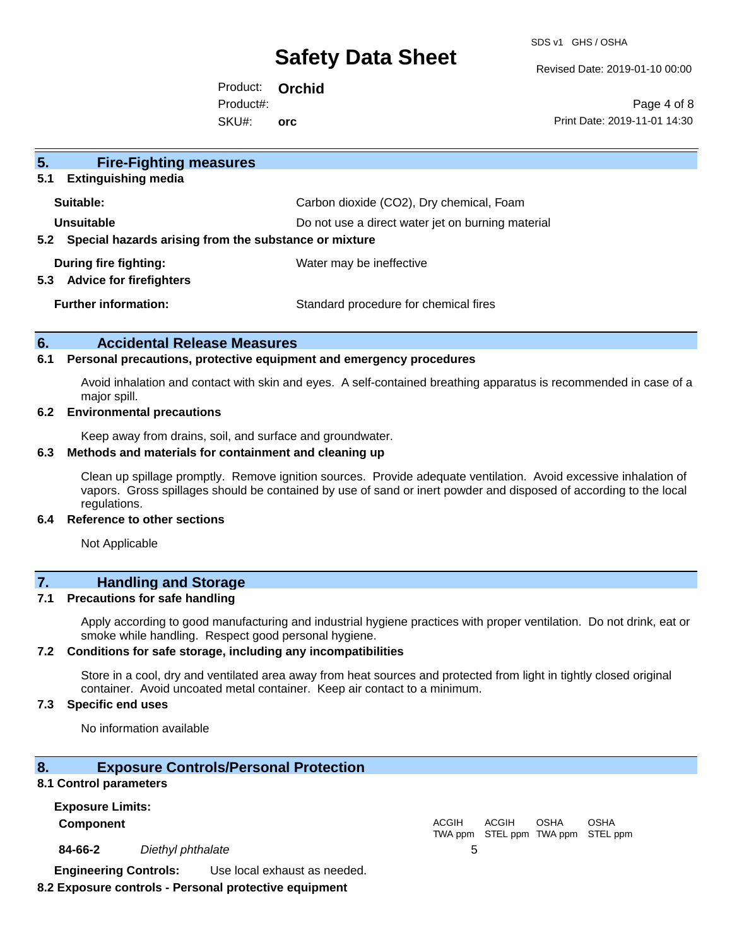SDS v1 GHS / OSHA

Revised Date: 2019-01-10 00:00

Product: **Orchid** SKU#: Product#: **orc**

Page 4 of 8 Print Date: 2019-11-01 14:30

| 5 <sub>1</sub><br><b>Fire-Fighting measures</b>                |                                                   |
|----------------------------------------------------------------|---------------------------------------------------|
| <b>Extinguishing media</b><br>5.1                              |                                                   |
| Suitable:                                                      | Carbon dioxide (CO2), Dry chemical, Foam          |
| <b>Unsuitable</b>                                              | Do not use a direct water jet on burning material |
| Special hazards arising from the substance or mixture<br>5.2   |                                                   |
| During fire fighting:<br><b>Advice for firefighters</b><br>5.3 | Water may be ineffective                          |
| <b>Further information:</b>                                    | Standard procedure for chemical fires             |

#### **6. Accidental Release Measures**

#### **6.1 Personal precautions, protective equipment and emergency procedures**

Avoid inhalation and contact with skin and eyes. A self-contained breathing apparatus is recommended in case of a major spill.

#### **6.2 Environmental precautions**

Keep away from drains, soil, and surface and groundwater.

#### **6.3 Methods and materials for containment and cleaning up**

Clean up spillage promptly. Remove ignition sources. Provide adequate ventilation. Avoid excessive inhalation of vapors. Gross spillages should be contained by use of sand or inert powder and disposed of according to the local regulations.

#### **6.4 Reference to other sections**

Not Applicable

## **7. Handling and Storage**

#### **7.1 Precautions for safe handling**

Apply according to good manufacturing and industrial hygiene practices with proper ventilation. Do not drink, eat or smoke while handling. Respect good personal hygiene.

#### **7.2 Conditions for safe storage, including any incompatibilities**

Store in a cool, dry and ventilated area away from heat sources and protected from light in tightly closed original container. Avoid uncoated metal container. Keep air contact to a minimum.

#### **7.3 Specific end uses**

No information available

#### **8. Exposure Controls/Personal Protection**

#### **8.1 Control parameters**

| <b>Exposure Limits:</b>      |                   |                              |       |              |             |                                           |  |
|------------------------------|-------------------|------------------------------|-------|--------------|-------------|-------------------------------------------|--|
| <b>Component</b>             |                   |                              | ACGIH | <b>ACGIH</b> | <b>OSHA</b> | OSHA<br>TWA ppm STEL ppm TWA ppm STEL ppm |  |
| 84-66-2                      | Diethyl phthalate |                              |       |              |             |                                           |  |
| <b>Engineering Controls:</b> |                   | Use local exhaust as needed. |       |              |             |                                           |  |

**8.2 Exposure controls - Personal protective equipment**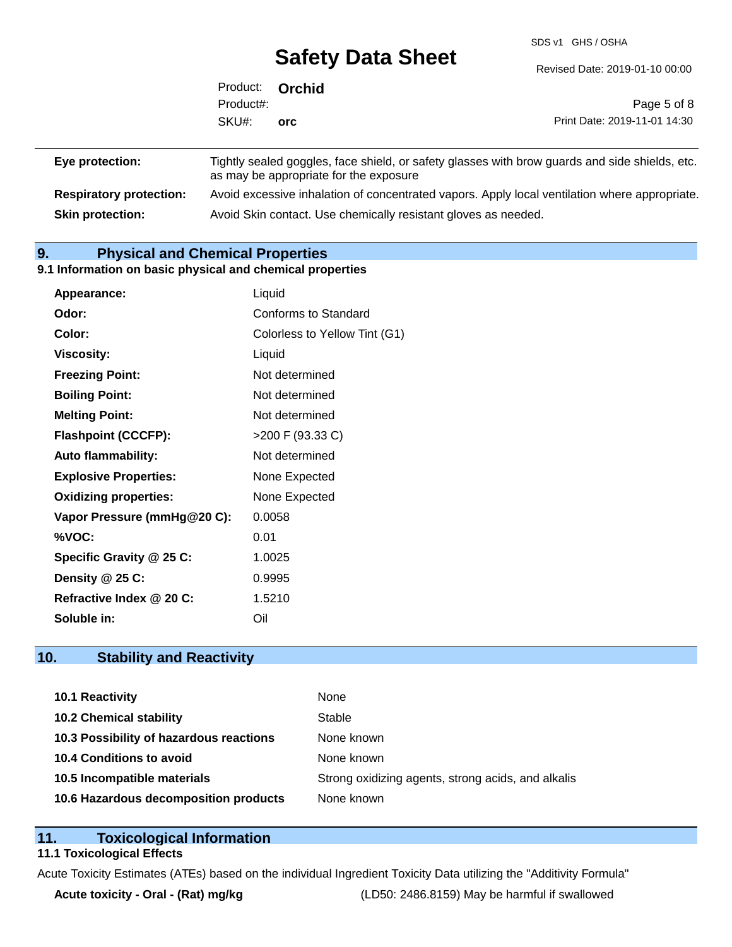SDS v1 GHS / OSHA

|                 | Product: <b>Orchid</b> |            |                                                                                                |
|-----------------|------------------------|------------|------------------------------------------------------------------------------------------------|
|                 | Product#:              |            | Page 5 of 8                                                                                    |
|                 | SKU#:                  | <b>orc</b> | Print Date: 2019-11-01 14:30                                                                   |
| Eye protection: |                        |            | Tightly sealed goggles, face shield, or safety glasses with brow guards and side shields, etc. |

|                                | as may be appropriate for the exposure                                                        |
|--------------------------------|-----------------------------------------------------------------------------------------------|
| <b>Respiratory protection:</b> | Avoid excessive inhalation of concentrated vapors. Apply local ventilation where appropriate. |
| <b>Skin protection:</b>        | Avoid Skin contact. Use chemically resistant gloves as needed.                                |

### **9. Physical and Chemical Properties**

#### **9.1 Information on basic physical and chemical properties**

| Appearance:                  | Liquid                        |
|------------------------------|-------------------------------|
| Odor:                        | Conforms to Standard          |
| Color:                       | Colorless to Yellow Tint (G1) |
| <b>Viscosity:</b>            | Liquid                        |
| <b>Freezing Point:</b>       | Not determined                |
| <b>Boiling Point:</b>        | Not determined                |
| <b>Melting Point:</b>        | Not determined                |
| <b>Flashpoint (CCCFP):</b>   | >200 F (93.33 C)              |
| <b>Auto flammability:</b>    | Not determined                |
| <b>Explosive Properties:</b> | None Expected                 |
| <b>Oxidizing properties:</b> | None Expected                 |
| Vapor Pressure (mmHg@20 C):  | 0.0058                        |
| %VOC:                        | 0.01                          |
| Specific Gravity @ 25 C:     | 1.0025                        |
| Density @ 25 C:              | 0.9995                        |
| Refractive Index @ 20 C:     | 1.5210                        |
| Soluble in:                  | Oil                           |

### **10. Stability and Reactivity**

| 10.1 Reactivity                         | None                                               |
|-----------------------------------------|----------------------------------------------------|
| <b>10.2 Chemical stability</b>          | Stable                                             |
| 10.3 Possibility of hazardous reactions | None known                                         |
| 10.4 Conditions to avoid                | None known                                         |
| 10.5 Incompatible materials             | Strong oxidizing agents, strong acids, and alkalis |
| 10.6 Hazardous decomposition products   | None known                                         |

### **11. Toxicological Information**

#### **11.1 Toxicological Effects**

Acute Toxicity Estimates (ATEs) based on the individual Ingredient Toxicity Data utilizing the "Additivity Formula"

**Acute toxicity - Oral - (Rat) mg/kg** (LD50: 2486.8159) May be harmful if swallowed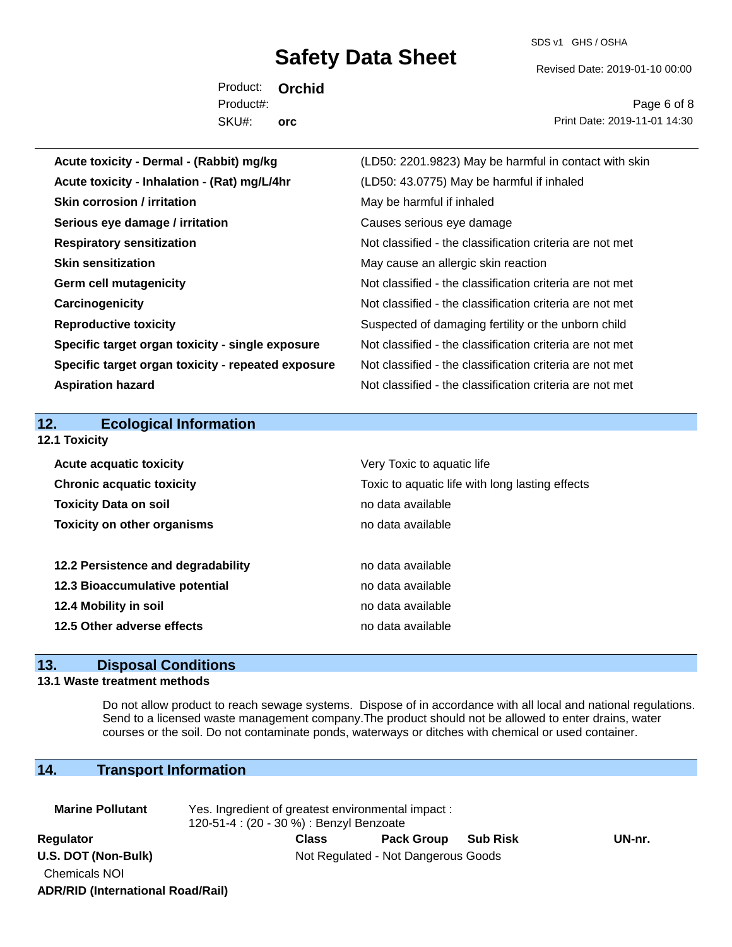SDS v1 GHS / OSHA

Revised Date: 2019-01-10 00:00

Product: **Orchid** SKU#: Product#: **orc**

Page 6 of 8 Print Date: 2019-11-01 14:30

| Acute toxicity - Dermal - (Rabbit) mg/kg           | (LD50: 2201.9823) May be harmful in contact with skin    |
|----------------------------------------------------|----------------------------------------------------------|
| Acute toxicity - Inhalation - (Rat) mg/L/4hr       | (LD50: 43.0775) May be harmful if inhaled                |
| <b>Skin corrosion / irritation</b>                 | May be harmful if inhaled                                |
| Serious eye damage / irritation                    | Causes serious eye damage                                |
| <b>Respiratory sensitization</b>                   | Not classified - the classification criteria are not met |
| <b>Skin sensitization</b>                          | May cause an allergic skin reaction                      |
| <b>Germ cell mutagenicity</b>                      | Not classified - the classification criteria are not met |
| Carcinogenicity                                    | Not classified - the classification criteria are not met |
| <b>Reproductive toxicity</b>                       | Suspected of damaging fertility or the unborn child      |
| Specific target organ toxicity - single exposure   | Not classified - the classification criteria are not met |
| Specific target organ toxicity - repeated exposure | Not classified - the classification criteria are not met |
| <b>Aspiration hazard</b>                           | Not classified - the classification criteria are not met |
|                                                    |                                                          |
|                                                    |                                                          |
| <b>Ecological Information</b><br>12.               |                                                          |
| 12.1 Toxicity                                      |                                                          |
| <b>Acute acquatic toxicity</b>                     | Very Toxic to aquatic life                               |
| <b>Chronic acquatic toxicity</b>                   | Toxic to aquatic life with long lasting effects          |
| <b>Toxicity Data on soil</b>                       | no data available                                        |
| <b>Toxicity on other organisms</b>                 | no data available                                        |
|                                                    |                                                          |
| 12.2 Persistence and degradability                 | no data available                                        |
| 12.3 Bioaccumulative potential                     | no data available                                        |
| 12.4 Mobility in soil                              | no data available                                        |
| 12.5 Other adverse effects                         | no data available                                        |

## **13. Disposal Conditions**

#### **13.1 Waste treatment methods**

Do not allow product to reach sewage systems. Dispose of in accordance with all local and national regulations. Send to a licensed waste management company.The product should not be allowed to enter drains, water courses or the soil. Do not contaminate ponds, waterways or ditches with chemical or used container.

### **14. Transport Information**

| <b>Marine Pollutant</b>                  | Yes. Ingredient of greatest environmental impact:<br>120-51-4 : (20 - 30 %) : Benzyl Benzoate |       |                   |                 |        |  |
|------------------------------------------|-----------------------------------------------------------------------------------------------|-------|-------------------|-----------------|--------|--|
| Regulator                                |                                                                                               | Class | <b>Pack Group</b> | <b>Sub Risk</b> | UN-nr. |  |
| U.S. DOT (Non-Bulk)                      | Not Regulated - Not Dangerous Goods                                                           |       |                   |                 |        |  |
| <b>Chemicals NOI</b>                     |                                                                                               |       |                   |                 |        |  |
| <b>ADR/RID (International Road/Rail)</b> |                                                                                               |       |                   |                 |        |  |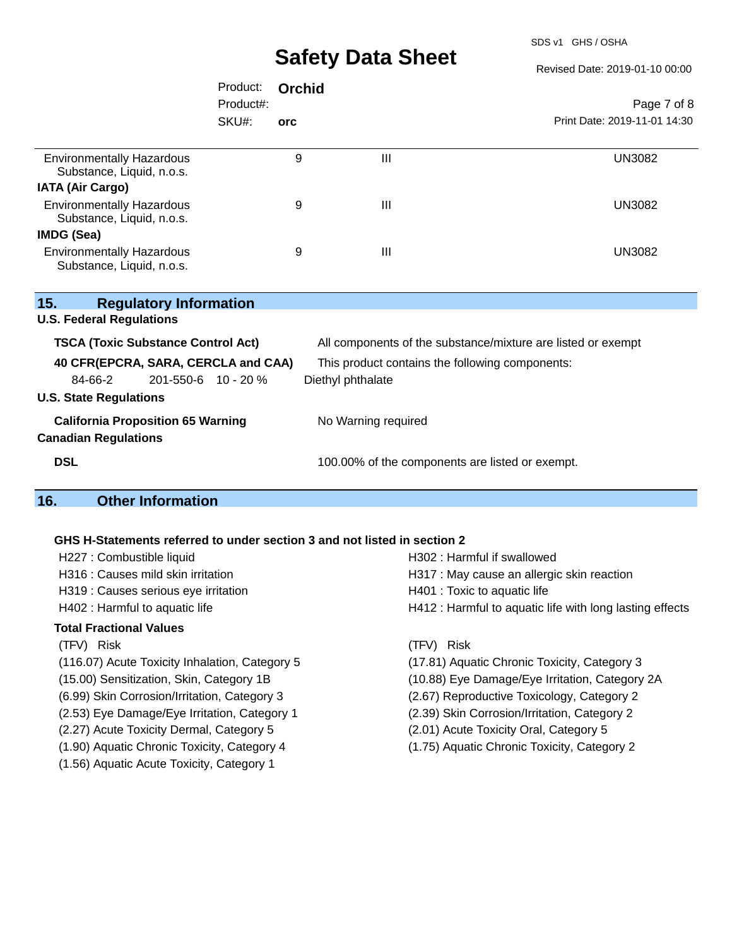SDS v1 GHS / OSHA

Revised Date: 2019-01-10 00:00

|                                                                         | Product:  | Orchid |                                                              |                              |
|-------------------------------------------------------------------------|-----------|--------|--------------------------------------------------------------|------------------------------|
|                                                                         | Product#: |        |                                                              | Page 7 of 8                  |
|                                                                         | SKU#:     | orc    |                                                              | Print Date: 2019-11-01 14:30 |
|                                                                         |           |        |                                                              |                              |
| <b>Environmentally Hazardous</b><br>Substance, Liquid, n.o.s.           |           | 9      | $\mathbf{III}$                                               | <b>UN3082</b>                |
| <b>IATA (Air Cargo)</b>                                                 |           |        |                                                              |                              |
| <b>Environmentally Hazardous</b><br>Substance, Liquid, n.o.s.           |           | 9      | $\mathbf{III}$                                               | <b>UN3082</b>                |
| <b>IMDG (Sea)</b>                                                       |           |        |                                                              |                              |
| <b>Environmentally Hazardous</b><br>Substance, Liquid, n.o.s.           |           | 9      | $\mathbf{III}$                                               | <b>UN3082</b>                |
| 15.<br><b>Regulatory Information</b>                                    |           |        |                                                              |                              |
| <b>U.S. Federal Regulations</b>                                         |           |        |                                                              |                              |
| <b>TSCA (Toxic Substance Control Act)</b>                               |           |        | All components of the substance/mixture are listed or exempt |                              |
| 40 CFR(EPCRA, SARA, CERCLA and CAA)                                     |           |        | This product contains the following components:              |                              |
| 84-66-2<br>201-550-6 10 - 20 %                                          |           |        | Diethyl phthalate                                            |                              |
| <b>U.S. State Regulations</b>                                           |           |        |                                                              |                              |
| <b>California Proposition 65 Warning</b><br><b>Canadian Regulations</b> |           |        | No Warning required                                          |                              |
| <b>DSL</b>                                                              |           |        | 100.00% of the components are listed or exempt.              |                              |

## **16. Other Information**

#### **GHS H-Statements referred to under section 3 and not listed in section 2**

| H227 : Combustible liquid                      | H302 : Harmful if swallowed                              |  |  |  |
|------------------------------------------------|----------------------------------------------------------|--|--|--|
| H316 : Causes mild skin irritation             | H317 : May cause an allergic skin reaction               |  |  |  |
| H319 : Causes serious eye irritation           | H401 : Toxic to aquatic life                             |  |  |  |
| H402 : Harmful to aquatic life                 | H412 : Harmful to aquatic life with long lasting effects |  |  |  |
| Total Fractional Values                        |                                                          |  |  |  |
| (TFV) Risk                                     | (TFV) Risk                                               |  |  |  |
| (116.07) Acute Toxicity Inhalation, Category 5 | (17.81) Aquatic Chronic Toxicity, Category 3             |  |  |  |
| (15.00) Sensitization, Skin, Category 1B       | (10.88) Eye Damage/Eye Irritation, Category 2A           |  |  |  |
| (6.99) Skin Corrosion/Irritation, Category 3   | (2.67) Reproductive Toxicology, Category 2               |  |  |  |
| (2.53) Eye Damage/Eye Irritation, Category 1   | (2.39) Skin Corrosion/Irritation, Category 2             |  |  |  |
| (2.27) Acute Toxicity Dermal, Category 5       | (2.01) Acute Toxicity Oral, Category 5                   |  |  |  |
| (1.90) Aquatic Chronic Toxicity, Category 4    | (1.75) Aquatic Chronic Toxicity, Category 2              |  |  |  |
| (1.56) Aquatic Acute Toxicity, Category 1      |                                                          |  |  |  |